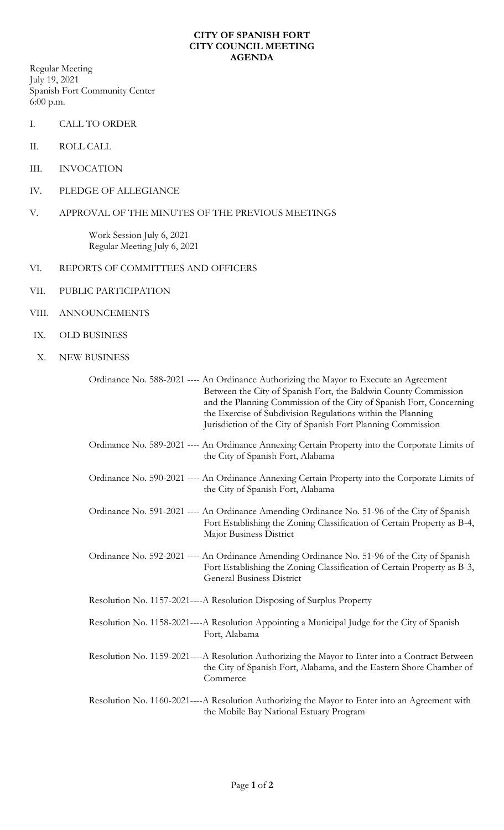## **CITY OF SPANISH FORT CITY COUNCIL MEETING AGENDA**

Regular Meeting July 19, 2021 Spanish Fort Community Center 6:00 p.m.

- I. CALL TO ORDER
- II. ROLL CALL
- III. INVOCATION
- IV. PLEDGE OF ALLEGIANCE
- V. APPROVAL OF THE MINUTES OF THE PREVIOUS MEETINGS

Work Session July 6, 2021 Regular Meeting July 6, 2021

- VI. REPORTS OF COMMITTEES AND OFFICERS
- VII. PUBLIC PARTICIPATION
- VIII. ANNOUNCEMENTS
- IX. OLD BUSINESS
- X. NEW BUSINESS

|                                                                        | Ordinance No. 588-2021 ---- An Ordinance Authorizing the Mayor to Execute an Agreement<br>Between the City of Spanish Fort, the Baldwin County Commission<br>and the Planning Commission of the City of Spanish Fort, Concerning<br>the Exercise of Subdivision Regulations within the Planning<br>Jurisdiction of the City of Spanish Fort Planning Commission |
|------------------------------------------------------------------------|-----------------------------------------------------------------------------------------------------------------------------------------------------------------------------------------------------------------------------------------------------------------------------------------------------------------------------------------------------------------|
|                                                                        | Ordinance No. 589-2021 ---- An Ordinance Annexing Certain Property into the Corporate Limits of<br>the City of Spanish Fort, Alabama                                                                                                                                                                                                                            |
|                                                                        | Ordinance No. 590-2021 ---- An Ordinance Annexing Certain Property into the Corporate Limits of<br>the City of Spanish Fort, Alabama                                                                                                                                                                                                                            |
|                                                                        | Ordinance No. 591-2021 ---- An Ordinance Amending Ordinance No. 51-96 of the City of Spanish<br>Fort Establishing the Zoning Classification of Certain Property as B-4,<br>Major Business District                                                                                                                                                              |
|                                                                        | Ordinance No. 592-2021 ---- An Ordinance Amending Ordinance No. 51-96 of the City of Spanish<br>Fort Establishing the Zoning Classification of Certain Property as B-3,<br><b>General Business District</b>                                                                                                                                                     |
| Resolution No. 1157-2021----A Resolution Disposing of Surplus Property |                                                                                                                                                                                                                                                                                                                                                                 |
|                                                                        | Resolution No. 1158-2021----A Resolution Appointing a Municipal Judge for the City of Spanish<br>Fort, Alabama                                                                                                                                                                                                                                                  |
|                                                                        | Resolution No. 1159-2021----A Resolution Authorizing the Mayor to Enter into a Contract Between<br>the City of Spanish Fort, Alabama, and the Eastern Shore Chamber of<br>Commerce                                                                                                                                                                              |
|                                                                        | Resolution No. 1160-2021----A Resolution Authorizing the Mayor to Enter into an Agreement with<br>the Mobile Bay National Estuary Program                                                                                                                                                                                                                       |